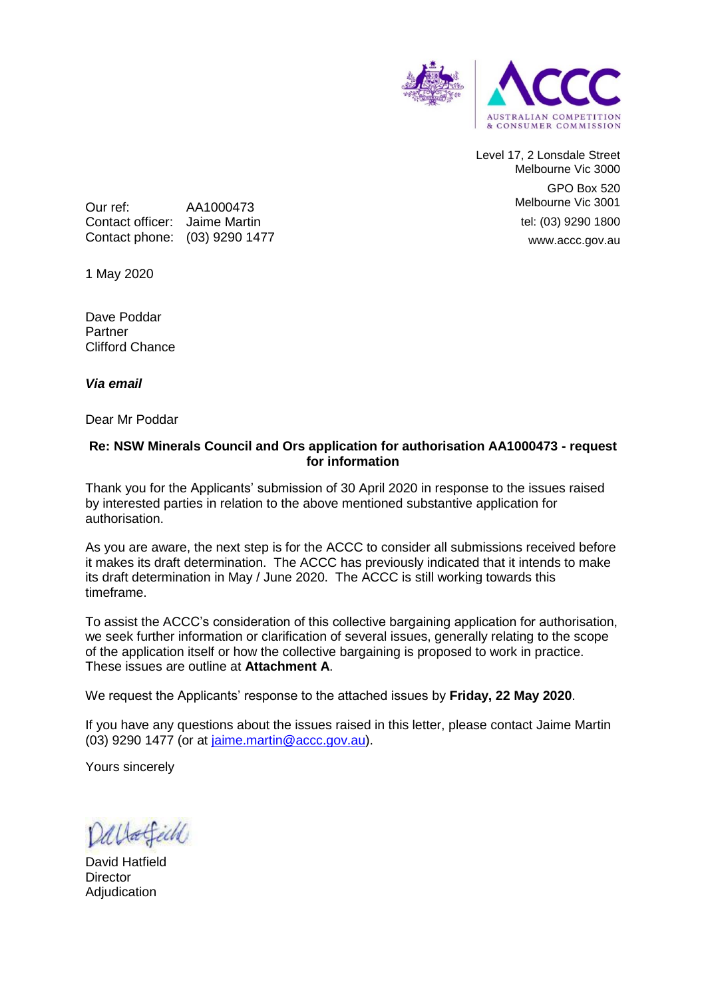

Level 17, 2 Lonsdale Street Melbourne Vic 3000 GPO Box 520 Melbourne Vic 3001 tel: (03) 9290 1800 www.accc.gov.au

Our ref: AA1000473 Contact officer: Jaime Martin Contact phone: (03) 9290 1477

1 May 2020

Dave Poddar Partner Clifford Chance

*Via email*

Dear Mr Poddar

## **Re: NSW Minerals Council and Ors application for authorisation AA1000473 - request for information**

Thank you for the Applicants' submission of 30 April 2020 in response to the issues raised by interested parties in relation to the above mentioned substantive application for authorisation.

As you are aware, the next step is for the ACCC to consider all submissions received before it makes its draft determination. The ACCC has previously indicated that it intends to make its draft determination in May / June 2020. The ACCC is still working towards this timeframe.

To assist the ACCC's consideration of this collective bargaining application for authorisation, we seek further information or clarification of several issues, generally relating to the scope of the application itself or how the collective bargaining is proposed to work in practice. These issues are outline at **Attachment A**.

We request the Applicants' response to the attached issues by **Friday, 22 May 2020**.

If you have any questions about the issues raised in this letter, please contact Jaime Martin (03) 9290 1477 (or at [jaime.martin@accc.gov.au\)](mailto:jaime.martin@accc.gov.au).

Yours sincerely

Dallatfeld

David Hatfield **Director Adiudication**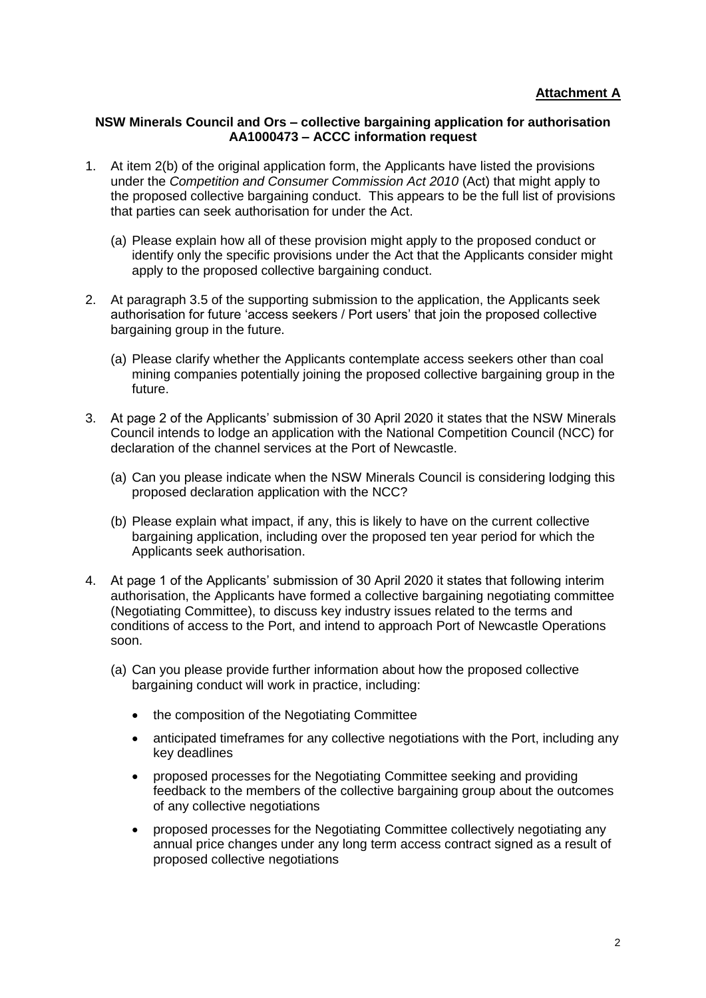## **NSW Minerals Council and Ors – collective bargaining application for authorisation AA1000473 – ACCC information request**

- 1. At item 2(b) of the original application form, the Applicants have listed the provisions under the *Competition and Consumer Commission Act 2010* (Act) that might apply to the proposed collective bargaining conduct. This appears to be the full list of provisions that parties can seek authorisation for under the Act.
	- (a) Please explain how all of these provision might apply to the proposed conduct or identify only the specific provisions under the Act that the Applicants consider might apply to the proposed collective bargaining conduct.
- 2. At paragraph 3.5 of the supporting submission to the application, the Applicants seek authorisation for future 'access seekers / Port users' that join the proposed collective bargaining group in the future.
	- (a) Please clarify whether the Applicants contemplate access seekers other than coal mining companies potentially joining the proposed collective bargaining group in the future.
- 3. At page 2 of the Applicants' submission of 30 April 2020 it states that the NSW Minerals Council intends to lodge an application with the National Competition Council (NCC) for declaration of the channel services at the Port of Newcastle.
	- (a) Can you please indicate when the NSW Minerals Council is considering lodging this proposed declaration application with the NCC?
	- (b) Please explain what impact, if any, this is likely to have on the current collective bargaining application, including over the proposed ten year period for which the Applicants seek authorisation.
- 4. At page 1 of the Applicants' submission of 30 April 2020 it states that following interim authorisation, the Applicants have formed a collective bargaining negotiating committee (Negotiating Committee), to discuss key industry issues related to the terms and conditions of access to the Port, and intend to approach Port of Newcastle Operations soon.
	- (a) Can you please provide further information about how the proposed collective bargaining conduct will work in practice, including:
		- the composition of the Negotiating Committee
		- anticipated timeframes for any collective negotiations with the Port, including any key deadlines
		- proposed processes for the Negotiating Committee seeking and providing feedback to the members of the collective bargaining group about the outcomes of any collective negotiations
		- proposed processes for the Negotiating Committee collectively negotiating any annual price changes under any long term access contract signed as a result of proposed collective negotiations